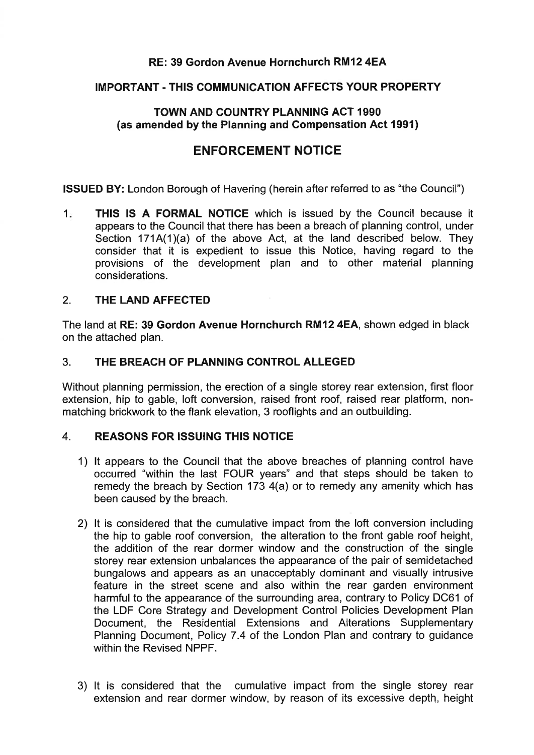# **RE: 39 Gordon Avenue Hornchurch RM12 4EA**

# **IMPORTANT** - **THlS COMMUNICATION AFFECTS YOUR PROPERTY**

# **TOWN AND COUNTRY PLANNING ACT 1990 (as amended by the Planning and Compensation Act 1991)**

# **ENFORCEMENT NOTICE**

**ISSUED BY:** London Borough of Havering (herein after referred to as "the Council")

1. **THlS IS A FORMAL NOTICE** which is issued by the Council because it appears to the Council that there has been a breach of planning control, under Section 171A(1)(a) of the above Act, at the land described below. They consider that it is expedient to issue this Notice, having regard to the provisions of the development plan and to other material planning considerations.

# 2. **THE LAND AFFECTED**

The land at **RE: 39 Gordon Avenue Hornchurch RM12 4EA,** shown edged in black on the attached plan.

# 3. **THE BREACH OF PLANNING CONTROL ALLEGED**

Without planning permission, the erection of a single storey rear extension, first floor extension, hip to gable, loft conversion, raised front roof, raised rear platform, nonmatching brickwork to the flank elevation, 3 rooflights and an outbuilding.

# **4. REASONS FOR ISSUING THIS NOTICE**

- 1) It appears to the Council that the above breaches of planning control have occurred "within the last FOUR years" and that steps should be taken to remedy the breach by Section 173 4(a) or to remedy any amenity which has been caused by the breach.
- 2) It is considered that the cumulative impact from the loft conversion including the hip to gable roof conversion, the alteration to the front gable roof height, the addition of the rear dormer window and the construction of the single storey rear extension unbalances the appearance of the pair of semidetached bungalows and appears as an unacceptably dominant and visually intrusive feature in the street scene and also within the rear garden environment harmful to the appearance of the surrounding area, contrary to Policy DC61 of the LDF Core Strategy and Development Control Policies Development Plan Document, the Residential Extensions and Alterations Supplementary Planning Document, Policy 7.4 of the London Plan and contrary to guidance within the Revised NPPF.
- 3) It is considered that the cumulative impact from the single storey rear extension and rear dormer window, by reason of its excessive depth, height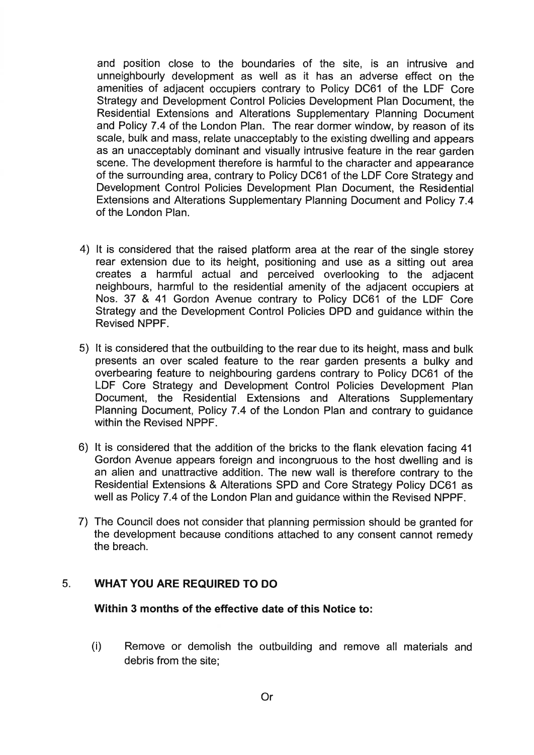and position close to the boundaries of the site, is an intrusive and unneighbourly development as well as it has an adverse effect on the amenities of adjacent occupiers contrary to Policy DC61 of the LDF Core Strategy and Development Control Policies Development Plan Document, the Residential Extensions and Alterations Supplementary Planning Document and Policy 7.4 of the London Plan. The rear dormer window, by reason of its scale, bulk and mass, relate unacceptably to the existing dwelling and appears as an unacceptably dominant and visually intrusive feature in the rear garden scene. The development therefore is harmful to the character and appearance of the surrounding area, contrary to Policy DC61 of the LDF Core Strategy and Development Control Policies Development Plan Document, the Residential Extensions and Alterations Supplementary Planning Document and Policy 7.4 of the London Plan.

- 4) It is considered that the raised platform area at the rear of the single storey rear extension due to its height, positioning and use as a sitting out area creates a harmful actual and perceived overlooking to the adjacent neighbours, harmful to the residential amenity of the adjacent occupiers at Nos. 37 & 41 Gordon Avenue contrary to Policy DC61 of the LDF Core Strategy and the Development Control Policies DPD and guidance within the Revised NPPF.
- 5) It is considered that the outbuilding to the rear due to its height, mass and bulk presents an over scaled feature to the rear garden presents a bulky and overbearing feature to neighbouring gardens contrary to Policy DC61 of the LDF Core Strategy and Development Control Policies Development Plan Document, the Residential Extensions and Alterations Supplementary Planning Document, Policy 7.4 of the London Plan and contrary to guidance within the Revised NPPF.
- 6) It is considered that the addition of the bricks to the flank elevation facing 41 Gordon Avenue appears foreign and incongruous to the host dwelling and is an alien and unattractive addition. The new wall is therefore contrary to the Residential Extensions & Alterations SPD and Core Strategy Policy DC61 as well as Policy 7.4 of the London Plan and guidance within the Revised NPPF.
- 7) The Council does not consider that planning permission should be granted for the development because conditions attached to any consent cannot remedy the breach.

# **5. WHAT YOU ARE REQUIRED TO DO**

# **Within 3 months of the effective date of this Notice to:**

(i) Remove or demolish the outbuilding and remove all materials and debris from the site;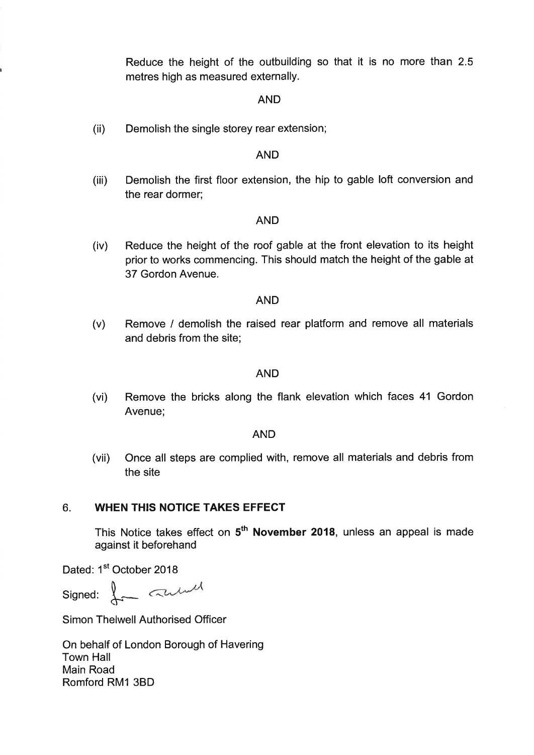Reduce the height of the outbuilding so that it is no more than 2.5 metres high as measured externally.

#### AND

(ii) Demolish the single storey rear extension;

#### AND

(iii) Demolish the first floor extension, the hip to gable loft conversion and the rear dormer;

#### AND

(iv) Reduce the height of the roof gable at the front elevation to its height prior to works commencing. This should match the height of the gable at 37 Gordon Avenue.

#### AND

(v) Remove / demolish the raised rear platform and remove all materials and debris from the site;

#### AND

(vi) Remove the bricks along the flank elevation which faces 41 Gordon Avenue;

#### AND

(vii) Once all steps are complied with, remove all materials and debris from the site

#### 6. **WHEN THIS NOTICE TAKES EFFECT**

This Notice takes effect on **5th November 2018,** unless an appeal is made against it beforehand

Dated: 1<sup>st</sup> October 2018

Signed:  $\downarrow$  and

Simon Thelwell Authorised Officer

On behalf of London Borough of Havering Town Hall Main Road Romford RMI 3BD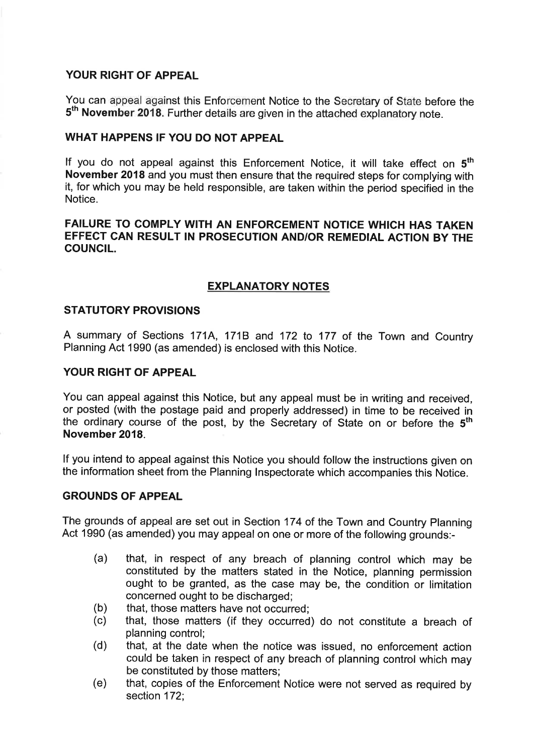# **YOUR RIGHT OF APPEAL**

You can appeal against this Enforcement Notice to the Secretary of State before the 5<sup>th</sup> November 2018. Further details are given in the attached explanatory note.

## **WHAT HAPPENS IF YOU DO NOT APPEAL**

If you do not appeal against this Enforcement Notice, it will take effect on **5th November 2018** and you must then ensure that the required steps for complying with it, for which you may be held responsible, are taken within the period specified in the Notice.

#### **FAILURE TO COMPLY WITH AN ENFORCEMENT NOTICE WHICH HAS TAKEN EFFECT CAN RESULT IN PROSECUTION ANDIOR REMEDIAL ACTION BY THE COUNCIL.**

# **EXPLANATORY NOTES**

#### **STATUTORY PROVISIONS**

A summary of Sections 171A, 1716 and 172 to 177 of the Town and Country Planning Act 1990 (as amended) is enclosed with this Notice.

#### **YOUR RIGHT OF APPEAL**

You can appeal against this Notice, but any appeal must be in writing and received, or posted (with the postage paid and properly addressed) in time to be received in the ordinary course of the post, by the Secretary of State on or before the **5th November 2018.** 

If you intend to appeal against this Notice you should follow the instructions given on the information sheet from the Planning Inspectorate which accompanies this Notice.

#### **GROUNDS OF APPEAL**

The grounds of appeal are set out in Section 174 of the Town and Country Planning Act 1990 (as amended) you may appeal on one or more of the following grounds:-

- (a) that, in respect of any breach of planning control which may be constituted by the matters stated in the Notice, planning permission ought to be granted, as the case may be, the condition or limitation concerned ought to be discharged;
- (b) that, those matters have not occurred;
- (c) that, those matters (if they occurred) do not constitute a breach of planning control;
- (d) that, at the date when the notice was issued, no enforcement action could be taken in respect of any breach of planning control which may be constituted by those matters;
- (e) that, copies of the Enforcement Notice were not served as required by section 172;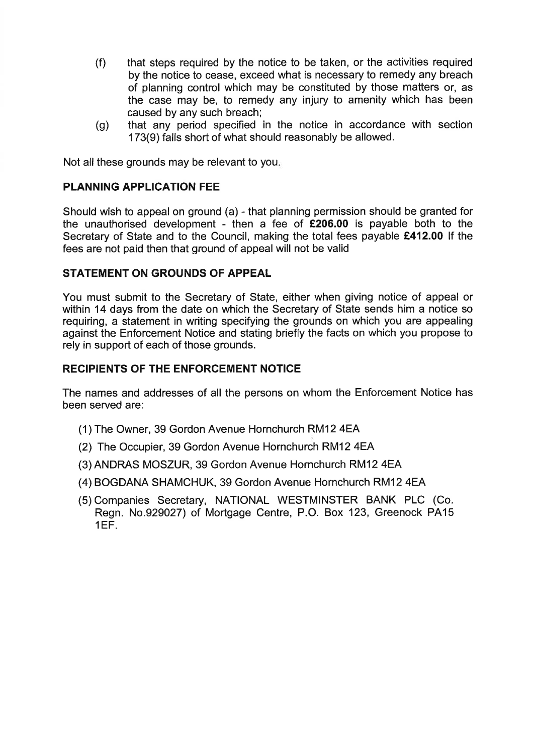- (f) that steps required by the notice to be taken, or the activities required by the notice to cease, exceed what is necessary to remedy any breach of planning control which may be constituted by those matters or, as the case may be, to remedy any injury to amenity which has been caused by any such breach;
- (g) that any period specified in the notice in accordance with section 173(9) falls short of what should reasonably be allowed.

Not all these grounds may be relevant to you.

# **PLANNING APPLICATION FEE**

Should wish to appeal on ground (a) - that planning permission should be granted for the unauthorised development - then a fee of **f206.00** is payable both to the Secretary of State and to the Council, making the total fees payable **f412.00** If the fees are not paid then that ground of appeal will not be valid

#### **STATEMENT ON GROUNDS OF APPEAL**

You must submit to the Secretary of State, either when giving notice of appeal or within 14 days from the date on which the Secretary of State sends him a notice so requiring, a statement in writing specifying the grounds on which you are appealing against the Enforcement Notice and stating briefly the facts on which you propose to rely in support of each of those grounds.

#### **RECIPIENTS OF THE ENFORCEMENT NOTICE**

The names and addresses of all the persons on whom the Enforcement Notice has been served are:

- (1) The Owner, 39 Gordon Avenue Hornchurch RMI2 4EA
- (2) The Occupier, 39 Gordon Avenue Hornchurch RM12 4EA
- (3) ANDRAS MOSZUR, 39 Gordon Avenue Hornchurch RM12 4EA
- (4) BOGDANA SHAMCHUK, 39 Gordon Avenue Hornchurch RM12 4EA
- (5) Companies Secretary, NATIONAL WESTMINSTER BANK PLC (Co. Regn. No.929027) of Mortgage Centre, P.O. Box 123, Greenock PA15 1EF.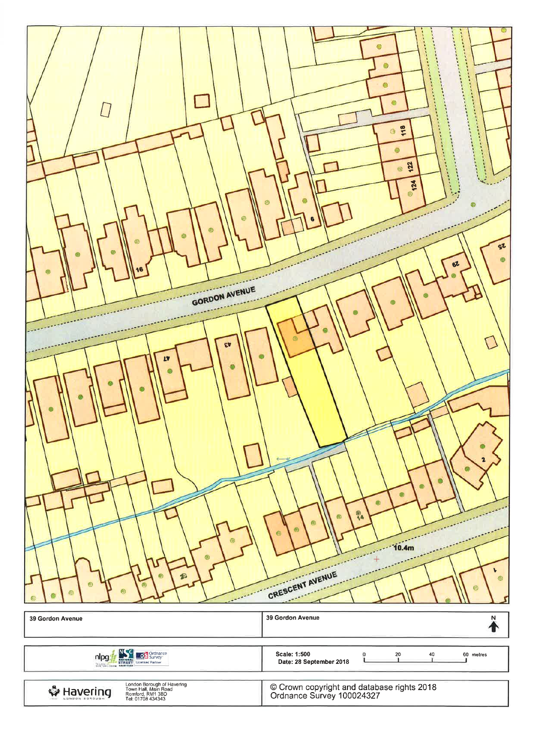